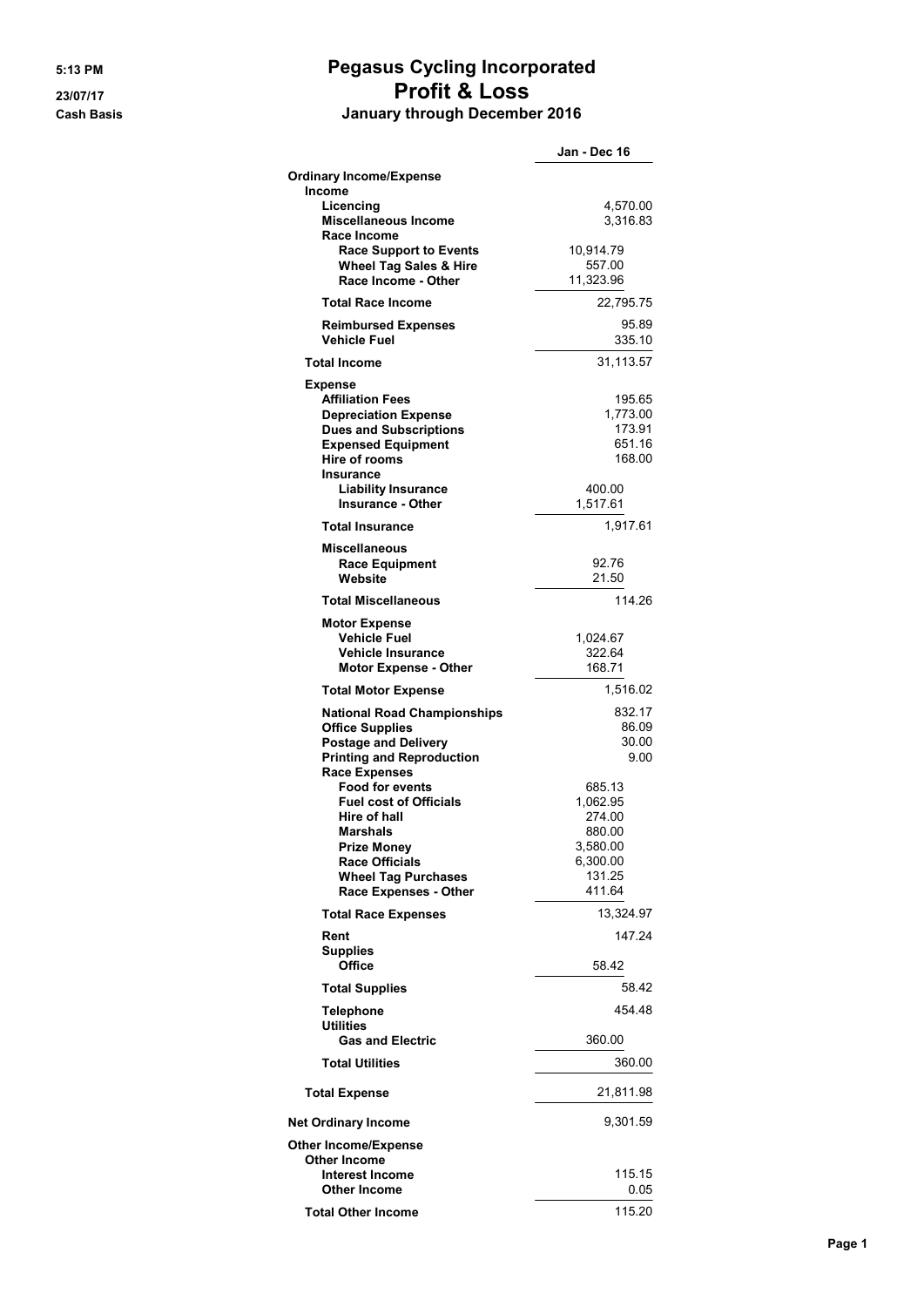## 5:13 PM Pegasus Cycling Incorporated 23/07/17 Profit & Loss Cash Basis January through December 2016

|                                                                                                                                                                                                                                       | Jan - Dec 16                                                                       |
|---------------------------------------------------------------------------------------------------------------------------------------------------------------------------------------------------------------------------------------|------------------------------------------------------------------------------------|
| <b>Ordinary Income/Expense</b>                                                                                                                                                                                                        |                                                                                    |
| <b>Income</b><br>Licencing<br><b>Miscellaneous Income</b><br>Race Income                                                                                                                                                              | 4,570.00<br>3,316.83                                                               |
| <b>Race Support to Events</b><br><b>Wheel Tag Sales &amp; Hire</b><br>Race Income - Other                                                                                                                                             | 10,914.79<br>557.00<br>11,323.96                                                   |
| <b>Total Race Income</b>                                                                                                                                                                                                              | 22,795.75                                                                          |
| <b>Reimbursed Expenses</b><br><b>Vehicle Fuel</b>                                                                                                                                                                                     | 95.89<br>335.10                                                                    |
| <b>Total Income</b>                                                                                                                                                                                                                   | 31,113.57                                                                          |
| <b>Expense</b><br><b>Affiliation Fees</b><br><b>Depreciation Expense</b><br><b>Dues and Subscriptions</b><br><b>Expensed Equipment</b><br><b>Hire of rooms</b><br>Insurance<br><b>Liability Insurance</b><br><b>Insurance - Other</b> | 195.65<br>1,773.00<br>173.91<br>651.16<br>168.00<br>400.00<br>1,517.61             |
| <b>Total Insurance</b>                                                                                                                                                                                                                | 1,917.61                                                                           |
| <b>Miscellaneous</b><br><b>Race Equipment</b><br>Website                                                                                                                                                                              | 92.76<br>21.50                                                                     |
| <b>Total Miscellaneous</b>                                                                                                                                                                                                            | 114.26                                                                             |
| <b>Motor Expense</b><br><b>Vehicle Fuel</b><br><b>Vehicle Insurance</b><br><b>Motor Expense - Other</b>                                                                                                                               | 1,024.67<br>322.64<br>168.71                                                       |
| <b>Total Motor Expense</b>                                                                                                                                                                                                            | 1,516.02                                                                           |
| <b>National Road Championships</b><br><b>Office Supplies</b><br><b>Postage and Delivery</b><br><b>Printing and Reproduction</b><br><b>Race Expenses</b>                                                                               | 832.17<br>86.09<br>30.00<br>9.00                                                   |
| <b>Food for events</b><br><b>Fuel cost of Officials</b><br>Hire of hall<br><b>Marshals</b><br>Prize Money<br><b>Race Officials</b><br><b>Wheel Tag Purchases</b><br>Race Expenses - Other                                             | 685.13<br>1,062.95<br>274.00<br>880.00<br>3,580.00<br>6,300.00<br>131.25<br>411.64 |
| <b>Total Race Expenses</b>                                                                                                                                                                                                            | 13,324.97                                                                          |
| Rent<br><b>Supplies</b><br>Office                                                                                                                                                                                                     | 147.24<br>58.42                                                                    |
| <b>Total Supplies</b>                                                                                                                                                                                                                 | 58.42                                                                              |
| <b>Telephone</b><br><b>Utilities</b>                                                                                                                                                                                                  | 454.48                                                                             |
| <b>Gas and Electric</b>                                                                                                                                                                                                               | 360.00                                                                             |
| <b>Total Utilities</b>                                                                                                                                                                                                                | 360.00                                                                             |
| <b>Total Expense</b>                                                                                                                                                                                                                  | 21,811.98                                                                          |
| <b>Net Ordinary Income</b>                                                                                                                                                                                                            | 9,301.59                                                                           |
| <b>Other Income/Expense</b><br>Other Income<br><b>Interest Income</b><br>Other Income                                                                                                                                                 | 115.15<br>0.05                                                                     |
| <b>Total Other Income</b>                                                                                                                                                                                                             | 115.20                                                                             |
|                                                                                                                                                                                                                                       |                                                                                    |